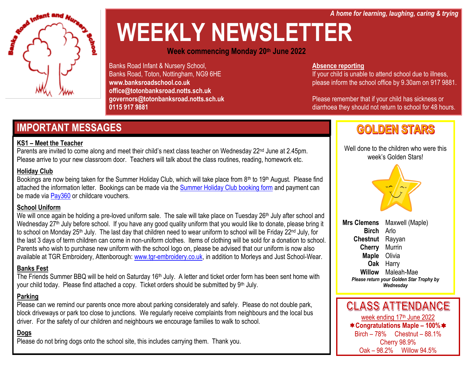*A home for learning, laughing, caring & trying*

# Infant and

# **WEEKLY NEWSLETTER**

**Week commencing Monday 20th June 2022**

Banks Road Infant & Nursery School, Banks Road, Toton, Nottingham, NG9 6HE **www.banksroadschool.co.uk office@totonbanksroad.notts.sch.uk governors@totonbanksroad.notts.sch.uk 0115 917 9881**

#### **Absence reporting**

If your child is unable to attend school due to illness, please inform the school office by 9.30am on 917 9881.

Please remember that if your child has sickness or diarrhoea they should not return to school for 48 hours.

### **IMPORTANT MESSAGES**

#### **KS1 – Meet the Teacher**

Parents are invited to come along and meet their child's next class teacher on Wednesday 22<sup>nd</sup> June at 2.45pm. Please arrive to your new classroom door. Teachers will talk about the class routines, reading, homework etc.

#### **Holiday Club**

Bookings are now being taken for the Summer Holiday Club, which will take place from 8<sup>th</sup> to 19<sup>th</sup> August. Please find attached the information letter. Bookings can be made via the [Summer Holiday Club booking form](https://forms.gle/vnMqYaNT7dqU9AeR8) and payment can be made via [Pay360](https://www.pay360educationpayments.com/Home) or childcare vouchers.

#### **School Uniform**

We will once again be holding a pre-loved uniform sale. The sale will take place on Tuesday 26<sup>th</sup> July after school and Wednesday 27<sup>th</sup> July before school. If you have any good quality uniform that you would like to donate, please bring it to school on Monday 25<sup>th</sup> July. The last day that children need to wear uniform to school will be Friday 22<sup>nd</sup> July, for the last 3 days of term children can come in non-uniform clothes. Items of clothing will be sold for a donation to school. Parents who wish to purchase new uniform with the school logo on, please be advised that our uniform is now also available at TGR Embroidery, Attenborough[: www.tgr-embroidery.co.uk,](http://www.tgr-embroidery.co.uk/) in addition to Morleys and Just School-Wear.

#### **Banks Fest**

The Friends Summer BBQ will be held on Saturday 16<sup>th</sup> July. A letter and ticket order form has been sent home with your child today. Please find attached a copy. Ticket orders should be submitted by 9<sup>th</sup> July.

#### **Parking**

Please can we remind our parents once more about parking considerately and safely. Please do not double park, block driveways or park too close to junctions. We regularly receive complaints from neighbours and the local bus driver. For the safety of our children and neighbours we encourage families to walk to school.

#### **Dogs**

Please do not bring dogs onto the school site, this includes carrying them. Thank you.

## **GOLDEN STARS**

Well done to the children who were this week's Golden Stars!



**Mrs Clemens** Maxwell (Maple) **Birch** Arlo **Chestnut** Rayyan **Cherry** Murrin **Maple** Olivia **Oak** Harry **Willow** Maleah-Mae *Please return your Golden Star Trophy by Wednesday*